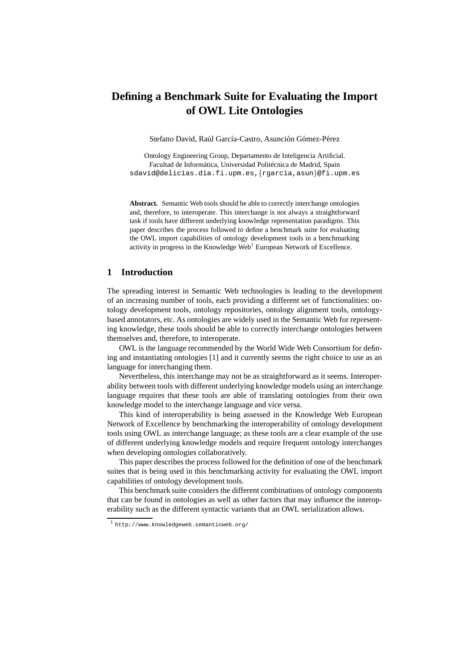# **Defining a Benchmark Suite for Evaluating the Import of OWL Lite Ontologies**

Stefano David, Raúl García-Castro, Asunción Gómez-Pérez

Ontology Engineering Group, Departamento de Inteligencia Artificial. Facultad de Informática, Universidad Politécnica de Madrid, Spain sdavid@delicias.dia.fi.upm.es,{rgarcia,asun}@fi.upm.es

**Abstract.** Semantic Web tools should be able to correctly interchange ontologies and, therefore, to interoperate. This interchange is not always a straightforward task if tools have different underlying knowledge representation paradigms. This paper describes the process followed to define a benchmark suite for evaluating the OWL import capabilities of ontology development tools in a benchmarking activity in progress in the Knowledge Web<sup>1</sup> European Network of Excellence.

## **1 Introduction**

The spreading interest in Semantic Web technologies is leading to the development of an increasing number of tools, each providing a different set of functionalities: ontology development tools, ontology repositories, ontology alignment tools, ontologybased annotators, etc. As ontologies are widely used in the Semantic Web for representing knowledge, these tools should be able to correctly interchange ontologies between themselves and, therefore, to interoperate.

OWL is the language recommended by the World Wide Web Consortium for defining and instantiating ontologies [1] and it currently seems the right choice to use as an language for interchanging them.

Nevertheless, this interchange may not be as straightforward as it seems. Interoperability between tools with different underlying knowledge models using an interchange language requires that these tools are able of translating ontologies from their own knowledge model to the interchange language and vice versa.

This kind of interoperability is being assessed in the Knowledge Web European Network of Excellence by benchmarking the interoperability of ontology development tools using OWL as interchange language; as these tools are a clear example of the use of different underlying knowledge models and require frequent ontology interchanges when developing ontologies collaboratively.

This paper describes the process followed for the definition of one of the benchmark suites that is being used in this benchmarking activity for evaluating the OWL import capabilities of ontology development tools.

This benchmark suite considers the different combinations of ontology components that can be found in ontologies as well as other factors that may influence the interoperability such as the different syntactic variants that an OWL serialization allows.

<sup>1</sup> http://www.knowledgeweb.semanticweb.org/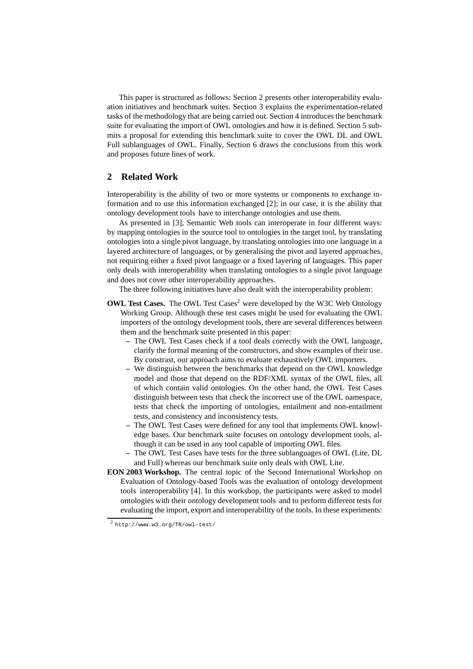This paper is structured as follows: Section 2 presents other interoperability evaluation initiatives and benchmark suites. Section 3 explains the experimentation-related tasks of the methodology that are being carried out. Section 4 introduces the benchmark suite for evaluating the import of OWL ontologies and how it is defined. Section 5 submits a proposal for extending this benchmark suite to cover the OWL DL and OWL Full sublanguages of OWL. Finally, Section 6 draws the conclusions from this work and proposes future lines of work.

## **2 Related Work**

Interoperability is the ability of two or more systems or components to exchange information and to use this information exchanged [2]; in our case, it is the ability that ontology development tools have to interchange ontologies and use them.

As presented in [3], Semantic Web tools can interoperate in four different ways: by mapping ontologies in the source tool to ontologies in the target tool, by translating ontologies into a single pivot language, by translating ontologies into one language in a layered architecture of languages, or by generalising the pivot and layered approaches, not requiring either a fixed pivot language or a fixed layering of languages. This paper only deals with interoperability when translating ontologies to a single pivot language and does not cover other interoperability approaches.

The three following initiatives have also dealt with the interoperability problem:

- **OWL Test Cases.** The OWL Test Cases<sup>2</sup> were developed by the W3C Web Ontology Working Group. Although these test cases might be used for evaluating the OWL importers of the ontology development tools, there are several differences between them and the benchmark suite presented in this paper:
	- **–** The OWL Test Cases check if a tool deals correctly with the OWL language, clarify the formal meaning of the constructors, and show examples of their use. By constrast, our approach aims to evaluate exhaustively OWL importers.
	- **–** We distinguish between the benchmarks that depend on the OWL knowledge model and those that depend on the RDF/XML syntax of the OWL files, all of which contain valid ontologies. On the other hand, the OWL Test Cases distinguish between tests that check the incorrect use of the OWL namespace, tests that check the importing of ontologies, entailment and non-entailment tests, and consistency and inconsistency tests.
	- **–** The OWL Test Cases were defined for any tool that implements OWL knowledge bases. Our benchmark suite focuses on ontology development tools, although it can be used in any tool capable of importing OWL files.
	- **–** The OWL Test Cases have tests for the three sublanguages of OWL (Lite, DL and Full) whereas our benchmark suite only deals with OWL Lite.
- **EON 2003 Workshop.** The central topic of the Second International Workshop on Evaluation of Ontology-based Tools was the evaluation of ontology development tools interoperability [4]. In this workshop, the participants were asked to model ontologies with their ontology development tools and to perform different tests for evaluating the import, export and interoperability of the tools. In these experiments:

<sup>2</sup> http://www.w3.org/TR/owl-test/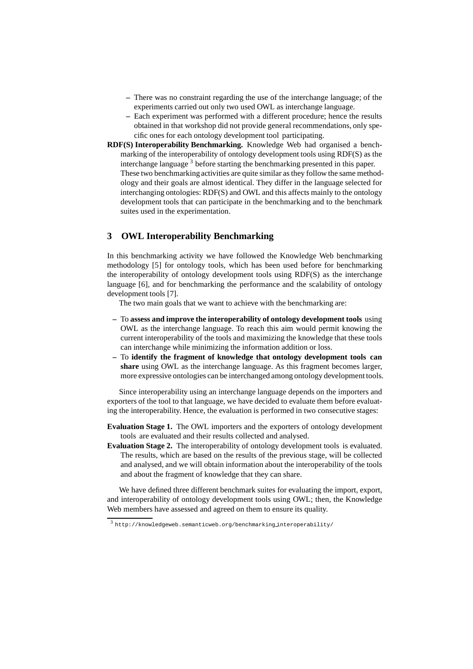- **–** There was no constraint regarding the use of the interchange language; of the experiments carried out only two used OWL as interchange language.
- **–** Each experiment was performed with a different procedure; hence the results obtained in that workshop did not provide general recommendations, only specific ones for each ontology development tool participating.
- **RDF(S) Interoperability Benchmarking.** Knowledge Web had organised a benchmarking of the interoperability of ontology development tools using RDF(S) as the interchange language  $3$  before starting the benchmarking presented in this paper. These two benchmarking activities are quite similar as they follow the same methodology and their goals are almost identical. They differ in the language selected for interchanging ontologies: RDF(S) and OWL and this affects mainly to the ontology development tools that can participate in the benchmarking and to the benchmark suites used in the experimentation.

## **3 OWL Interoperability Benchmarking**

In this benchmarking activity we have followed the Knowledge Web benchmarking methodology [5] for ontology tools, which has been used before for benchmarking the interoperability of ontology development tools using RDF(S) as the interchange language [6], and for benchmarking the performance and the scalability of ontology development tools [7].

The two main goals that we want to achieve with the benchmarking are:

- **–** To **assess and improve the interoperability of ontology development tools** using OWL as the interchange language. To reach this aim would permit knowing the current interoperability of the tools and maximizing the knowledge that these tools can interchange while minimizing the information addition or loss.
- **–** To **identify the fragment of knowledge that ontology development tools can share** using OWL as the interchange language. As this fragment becomes larger, more expressive ontologies can be interchanged among ontology development tools.

Since interoperability using an interchange language depends on the importers and exporters of the tool to that language, we have decided to evaluate them before evaluating the interoperability. Hence, the evaluation is performed in two consecutive stages:

- **Evaluation Stage 1.** The OWL importers and the exporters of ontology development tools are evaluated and their results collected and analysed.
- **Evaluation Stage 2.** The interoperability of ontology development tools is evaluated. The results, which are based on the results of the previous stage, will be collected and analysed, and we will obtain information about the interoperability of the tools and about the fragment of knowledge that they can share.

We have defined three different benchmark suites for evaluating the import, export, and interoperability of ontology development tools using OWL; then, the Knowledge Web members have assessed and agreed on them to ensure its quality.

 $^3$  http://knowledgeweb.semanticweb.org/benchmarking\_interoperability/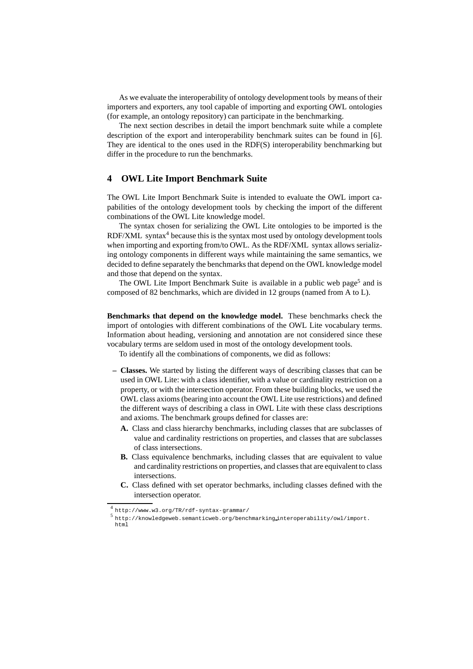As we evaluate the interoperability of ontology development tools by means of their importers and exporters, any tool capable of importing and exporting OWL ontologies (for example, an ontology repository) can participate in the benchmarking.

The next section describes in detail the import benchmark suite while a complete description of the export and interoperability benchmark suites can be found in [6]. They are identical to the ones used in the RDF(S) interoperability benchmarking but differ in the procedure to run the benchmarks.

### **4 OWL Lite Import Benchmark Suite**

The OWL Lite Import Benchmark Suite is intended to evaluate the OWL import capabilities of the ontology development tools by checking the import of the different combinations of the OWL Lite knowledge model.

The syntax chosen for serializing the OWL Lite ontologies to be imported is the RDF/XML syntax $4$  because this is the syntax most used by ontology development tools when importing and exporting from/to OWL. As the RDF/XML syntax allows serializing ontology components in different ways while maintaining the same semantics, we decided to define separately the benchmarks that depend on the OWL knowledge model and those that depend on the syntax.

The OWL Lite Import Benchmark Suite is available in a public web page<sup>5</sup> and is composed of 82 benchmarks, which are divided in 12 groups (named from A to L).

**Benchmarks that depend on the knowledge model.** These benchmarks check the import of ontologies with different combinations of the OWL Lite vocabulary terms. Information about heading, versioning and annotation are not considered since these vocabulary terms are seldom used in most of the ontology development tools.

To identify all the combinations of components, we did as follows:

- **Classes.** We started by listing the different ways of describing classes that can be used in OWL Lite: with a class identifier, with a value or cardinality restriction on a property, or with the intersection operator. From these building blocks, we used the OWL class axioms (bearing into account the OWL Lite use restrictions) and defined the different ways of describing a class in OWL Lite with these class descriptions and axioms. The benchmark groups defined for classes are:
	- **A.** Class and class hierarchy benchmarks, including classes that are subclasses of value and cardinality restrictions on properties, and classes that are subclasses of class intersections.
	- **B.** Class equivalence benchmarks, including classes that are equivalent to value and cardinality restrictions on properties, and classes that are equivalent to class intersections.
	- **C.** Class defined with set operator bechmarks, including classes defined with the intersection operator.

<sup>4</sup> http://www.w3.org/TR/rdf-syntax-grammar/

<sup>5</sup> http://knowledgeweb.semanticweb.org/benchmarking interoperability/owl/import. html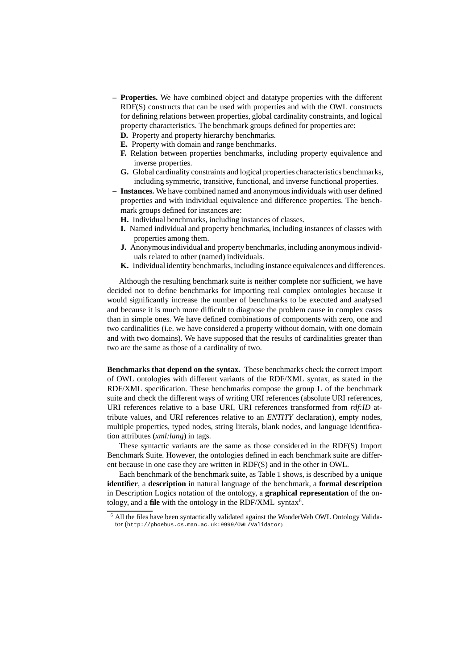- **Properties.** We have combined object and datatype properties with the different RDF(S) constructs that can be used with properties and with the OWL constructs for defining relations between properties, global cardinality constraints, and logical property characteristics. The benchmark groups defined for properties are:
	- **D.** Property and property hierarchy benchmarks.
	- **E.** Property with domain and range benchmarks.
	- **F.** Relation between properties benchmarks, including property equivalence and inverse properties.
	- **G.** Global cardinality constraints and logical properties characteristics benchmarks, including symmetric, transitive, functional, and inverse functional properties.
- **Instances.** We have combined named and anonymous individuals with user defined properties and with individual equivalence and difference properties. The benchmark groups defined for instances are:
	- **H.** Individual benchmarks, including instances of classes.
	- **I.** Named individual and property benchmarks, including instances of classes with properties among them.
	- **J.** Anonymous individual and property benchmarks, including anonymous individuals related to other (named) individuals.
	- **K.** Individual identity benchmarks, including instance equivalences and differences.

Although the resulting benchmark suite is neither complete nor sufficient, we have decided not to define benchmarks for importing real complex ontologies because it would significantly increase the number of benchmarks to be executed and analysed and because it is much more difficult to diagnose the problem cause in complex cases than in simple ones. We have defined combinations of components with zero, one and two cardinalities (i.e. we have considered a property without domain, with one domain and with two domains). We have supposed that the results of cardinalities greater than two are the same as those of a cardinality of two.

**Benchmarks that depend on the syntax.** These benchmarks check the correct import of OWL ontologies with different variants of the RDF/XML syntax, as stated in the RDF/XML specification. These benchmarks compose the group **L** of the benchmark suite and check the different ways of writing URI references (absolute URI references, URI references relative to a base URI, URI references transformed from *rdf:ID* attribute values, and URI references relative to an *ENTITY* declaration), empty nodes, multiple properties, typed nodes, string literals, blank nodes, and language identification attributes (*xml:lang*) in tags.

These syntactic variants are the same as those considered in the RDF(S) Import Benchmark Suite. However, the ontologies defined in each benchmark suite are different because in one case they are written in RDF(S) and in the other in OWL.

Each benchmark of the benchmark suite, as Table 1 shows, is described by a unique **identifier**, a **description** in natural language of the benchmark, a **formal description** in Description Logics notation of the ontology, a **graphical representation** of the ontology, and a file with the ontology in the RDF/XML syntax<sup>6</sup>.

<sup>6</sup> All the files have been syntactically validated against the WonderWeb OWL Ontology Validator (http://phoebus.cs.man.ac.uk:9999/OWL/Validator)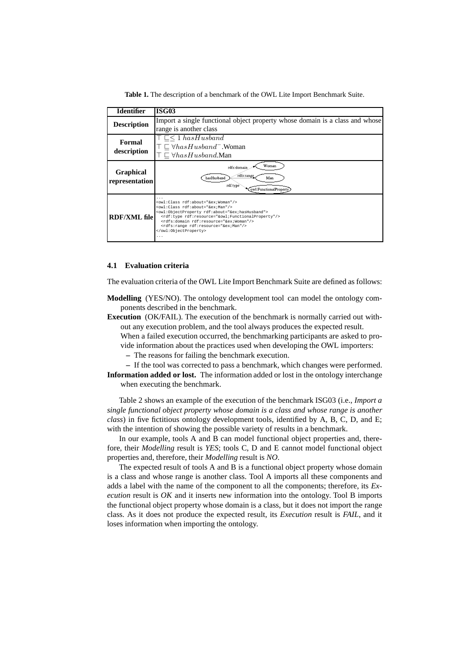**Table 1.** The description of a benchmark of the OWL Lite Import Benchmark Suite.

| <b>Identifier</b>                  | <b>ISG03</b>                                                                                                                                                                                                                                                                                                                                                                                            |  |  |  |
|------------------------------------|---------------------------------------------------------------------------------------------------------------------------------------------------------------------------------------------------------------------------------------------------------------------------------------------------------------------------------------------------------------------------------------------------------|--|--|--|
| <b>Description</b>                 | Import a single functional object property whose domain is a class and whose                                                                                                                                                                                                                                                                                                                            |  |  |  |
|                                    | range is another class                                                                                                                                                                                                                                                                                                                                                                                  |  |  |  |
| Formal                             | $\top \sqsubset \leq 1$ hasHusband                                                                                                                                                                                                                                                                                                                                                                      |  |  |  |
|                                    | $\top \sqsubset \forall hasHusband$ . Woman                                                                                                                                                                                                                                                                                                                                                             |  |  |  |
| description                        | $\top \sqsubset \forall hasHusband$ .Man                                                                                                                                                                                                                                                                                                                                                                |  |  |  |
| <b>Graphical</b><br>representation | Woman<br>rdfs:domain<br>rdfs:range<br>hasHusband<br>Man<br>rdf:type<br>owl:FunctionalProperty                                                                                                                                                                                                                                                                                                           |  |  |  |
| <b>RDF/XML file</b>                | <owl:class_rdf:about="&ex;woman"></owl:class_rdf:about="&ex;woman"><br><owl:class rdf:about="&amp;ex;Man"></owl:class><br><owl:objectproperty rdf:about="&amp;ex;hasHusband"><br/><rdf:type rdf:resource="&amp;owl;FunctionalProperty"></rdf:type><br/><rdfs:domain rdf:resource="&amp;ex;Woman"></rdfs:domain><br/><rdfs:range rdf:resource="&amp;ex;Man"></rdfs:range><br/></owl:objectproperty><br>. |  |  |  |

### **4.1 Evaluation criteria**

The evaluation criteria of the OWL Lite Import Benchmark Suite are defined as follows:

- **Modelling** (YES/NO). The ontology development tool can model the ontology components described in the benchmark.
- **Execution** (OK/FAIL). The execution of the benchmark is normally carried out without any execution problem, and the tool always produces the expected result.

When a failed execution occurred, the benchmarking participants are asked to provide information about the practices used when developing the OWL importers:

- **–** The reasons for failing the benchmark execution.
- **–** If the tool was corrected to pass a benchmark, which changes were performed. **Information added or lost.** The information added or lost in the ontology interchange when executing the benchmark.

Table 2 shows an example of the execution of the benchmark ISG03 (i.e., *Import a single functional object property whose domain is a class and whose range is another class*) in five fictitious ontology development tools, identified by A, B, C, D, and E; with the intention of showing the possible variety of results in a benchmark.

In our example, tools A and B can model functional object properties and, therefore, their *Modelling* result is *YES*; tools C, D and E cannot model functional object properties and, therefore, their *Modelling* result is *NO*.

The expected result of tools A and B is a functional object property whose domain is a class and whose range is another class. Tool A imports all these components and adds a label with the name of the component to all the components; therefore, its *Execution* result is *OK* and it inserts new information into the ontology. Tool B imports the functional object property whose domain is a class, but it does not import the range class. As it does not produce the expected result, its *Execution* result is *FAIL*, and it loses information when importing the ontology.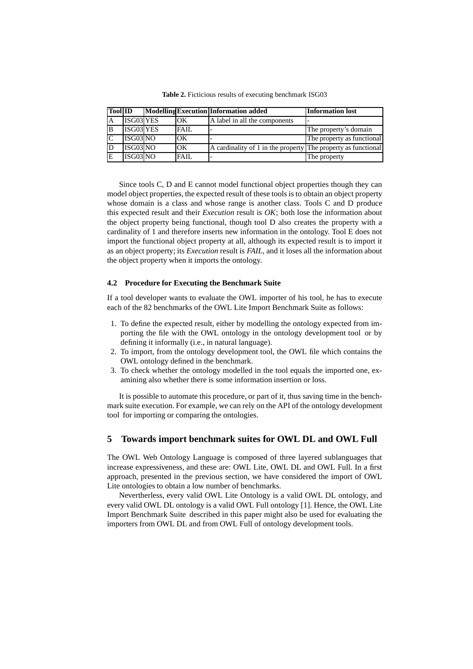| <b>Tool ID</b> |           |       | <b>Modelling Execution Information added</b>                  | <b>Information lost</b>    |
|----------------|-----------|-------|---------------------------------------------------------------|----------------------------|
| ΙA             | ISG03 YES | OK    | A label in all the components                                 |                            |
| B              | ISG03 YES | FAIL. |                                                               | The property's domain      |
| <sub>IC</sub>  | ISG03NO   | OК    |                                                               | The property as functional |
|                | ISG03NO   | OK    | A cardinality of 1 in the property The property as functional |                            |
|                | ISG03 NO  | FAIL  | $\overline{\phantom{0}}$                                      | The property               |

**Table 2.** Ficticious results of executing benchmark ISG03

Since tools C, D and E cannot model functional object properties though they can model object properties, the expected result of these tools is to obtain an object property whose domain is a class and whose range is another class. Tools C and D produce this expected result and their *Execution* result is *OK*; both lose the information about the object property being functional, though tool D also creates the property with a cardinality of 1 and therefore inserts new information in the ontology. Tool E does not import the functional object property at all, although its expected result is to import it as an object property; its *Execution* result is *FAIL*, and it loses all the information about the object property when it imports the ontology.

## **4.2 Procedure for Executing the Benchmark Suite**

If a tool developer wants to evaluate the OWL importer of his tool, he has to execute each of the 82 benchmarks of the OWL Lite Import Benchmark Suite as follows:

- 1. To define the expected result, either by modelling the ontology expected from importing the file with the OWL ontology in the ontology development tool or by defining it informally (i.e., in natural language).
- 2. To import, from the ontology development tool, the OWL file which contains the OWL ontology defined in the benchmark.
- 3. To check whether the ontology modelled in the tool equals the imported one, examining also whether there is some information insertion or loss.

It is possible to automate this procedure, or part of it, thus saving time in the benchmark suite execution. For example, we can rely on the API of the ontology development tool for importing or comparing the ontologies.

# **5 Towards import benchmark suites for OWL DL and OWL Full**

The OWL Web Ontology Language is composed of three layered sublanguages that increase expressiveness, and these are: OWL Lite, OWL DL and OWL Full. In a first approach, presented in the previous section, we have considered the import of OWL Lite ontologies to obtain a low number of benchmarks.

Nevertherless, every valid OWL Lite Ontology is a valid OWL DL ontology, and every valid OWL DL ontology is a valid OWL Full ontology [1]. Hence, the OWL Lite Import Benchmark Suite described in this paper might also be used for evaluating the importers from OWL DL and from OWL Full of ontology development tools.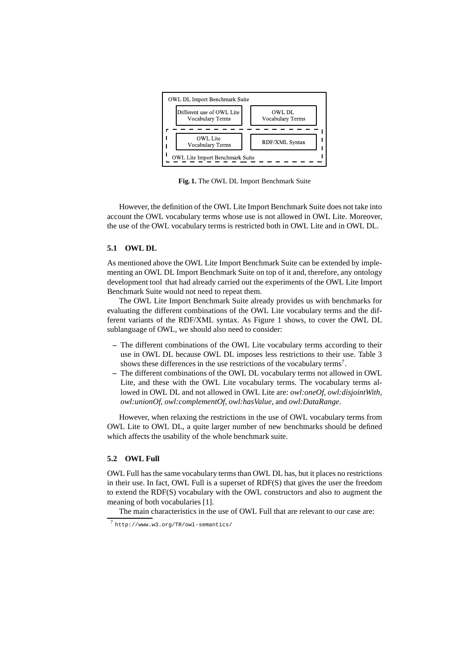

**Fig. 1.** The OWL DL Import Benchmark Suite

However, the definition of the OWL Lite Import Benchmark Suite does not take into account the OWL vocabulary terms whose use is not allowed in OWL Lite. Moreover, the use of the OWL vocabulary terms is restricted both in OWL Lite and in OWL DL.

### **5.1 OWL DL**

As mentioned above the OWL Lite Import Benchmark Suite can be extended by implementing an OWL DL Import Benchmark Suite on top of it and, therefore, any ontology development tool that had already carried out the experiments of the OWL Lite Import Benchmark Suite would not need to repeat them.

The OWL Lite Import Benchmark Suite already provides us with benchmarks for evaluating the different combinations of the OWL Lite vocabulary terms and the different variants of the RDF/XML syntax. As Figure 1 shows, to cover the OWL DL sublanguage of OWL, we should also need to consider:

- **–** The different combinations of the OWL Lite vocabulary terms according to their use in OWL DL because OWL DL imposes less restrictions to their use. Table 3 shows these differences in the use restrictions of the vocabulary terms<sup>7</sup>.
- **–** The different combinations of the OWL DL vocabulary terms not allowed in OWL Lite, and these with the OWL Lite vocabulary terms. The vocabulary terms allowed in OWL DL and not allowed in OWL Lite are: *owl:oneOf*, *owl:disjointWith*, *owl:unionOf*, *owl:complementOf*, *owl:hasValue*, and *owl:DataRange*.

However, when relaxing the restrictions in the use of OWL vocabulary terms from OWL Lite to OWL DL, a quite larger number of new benchmarks should be defined which affects the usability of the whole benchmark suite.

# **5.2 OWL Full**

OWL Full has the same vocabulary terms than OWL DL has, but it places no restrictions in their use. In fact, OWL Full is a superset of RDF(S) that gives the user the freedom to extend the RDF(S) vocabulary with the OWL constructors and also to augment the meaning of both vocabularies [1].

The main characteristics in the use of OWL Full that are relevant to our case are:

<sup>7</sup> http://www.w3.org/TR/owl-semantics/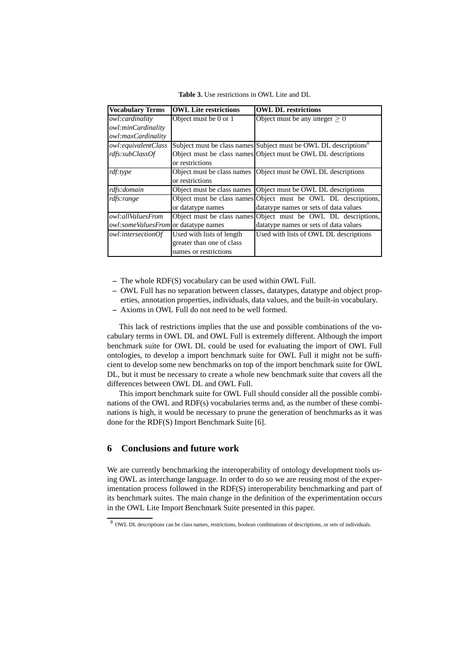**Table 3.** Use restrictions in OWL Lite and DL

| <b>Vocabulary Terms</b>                  | <b>OWL Lite restrictions</b> | <b>OWL DL restrictions</b>                                                   |  |
|------------------------------------------|------------------------------|------------------------------------------------------------------------------|--|
| owl:cardinality                          | Object must be 0 or 1        | Object must be any integer $> 0$                                             |  |
| owl:minCardinality                       |                              |                                                                              |  |
| owl:maxCardinality                       |                              |                                                                              |  |
| owl:equivalentClass                      |                              | Subject must be class names Subject must be OWL DL descriptions <sup>8</sup> |  |
| rdfs:subClassOf                          |                              | Object must be class names Object must be OWL DL descriptions                |  |
|                                          | or restrictions              |                                                                              |  |
| rdf:type                                 | Object must be class names   | Object must be OWL DL descriptions                                           |  |
|                                          | or restrictions              |                                                                              |  |
| rdfs:domain                              | Object must be class names   | Object must be OWL DL descriptions                                           |  |
| rdfs:range                               |                              | Object must be class names Object must be OWL DL descriptions,               |  |
|                                          | or datatype names            | datatype names or sets of data values                                        |  |
| owl:allValuesFrom                        | Object must be class names   | Object must be OWL DL descriptions,                                          |  |
| owl: some Values From or data type names |                              | datatype names or sets of data values                                        |  |
| <i>owl:intersectionOf</i>                | Used with lists of length    | Used with lists of OWL DL descriptions                                       |  |
|                                          | greater than one of class    |                                                                              |  |
|                                          | names or restrictions        |                                                                              |  |

**–** The whole RDF(S) vocabulary can be used within OWL Full.

- **–** OWL Full has no separation between classes, datatypes, datatype and object properties, annotation properties, individuals, data values, and the built-in vocabulary.
- **–** Axioms in OWL Full do not need to be well formed.

This lack of restrictions implies that the use and possible combinations of the vocabulary terms in OWL DL and OWL Full is extremely different. Although the import benchmark suite for OWL DL could be used for evaluating the import of OWL Full ontologies, to develop a import benchmark suite for OWL Full it might not be sufficient to develop some new benchmarks on top of the import benchmark suite for OWL DL, but it must be necessary to create a whole new benchmark suite that covers all the differences between OWL DL and OWL Full.

This import benchmark suite for OWL Full should consider all the possible combinations of the OWL and RDF(s) vocabularies terms and, as the number of these combinations is high, it would be necessary to prune the generation of benchmarks as it was done for the RDF(S) Import Benchmark Suite [6].

# **6 Conclusions and future work**

We are currently benchmarking the interoperability of ontology development tools using OWL as interchange language. In order to do so we are reusing most of the experimentation process followed in the RDF(S) interoperability benchmarking and part of its benchmark suites. The main change in the definition of the experimentation occurs in the OWL Lite Import Benchmark Suite presented in this paper.

<sup>8</sup> OWL DL descriptions can be class names, restrictions, boolean combinations of descriptions, or sets of individuals.